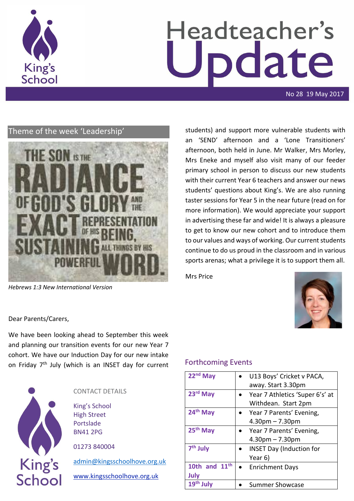

# Headteacher's date

No 28 19 May 2017

# Theme of the week 'Leadership'



*Hebrews 1:3 New International Version*

students) and support more vulnerable students with an 'SEND' afternoon and a 'Lone Transitioners' afternoon, both held in June. Mr Walker, Mrs Morley, Mrs Eneke and myself also visit many of our feeder primary school in person to discuss our new students with their current Year 6 teachers and answer our news students' questions about King's. We are also running taster sessions for Year 5 in the near future (read on for more information). We would appreciate your support in advertising these far and wide! It is always a pleasure to get to know our new cohort and to introduce them to our values and ways of working. Our current students continue to do us proud in the classroom and in various sports arenas; what a privilege it is to support them all.

Mrs Price



Dear Parents/Carers,

We have been looking ahead to September this week and planning our transition events for our new Year 7 cohort. We have our Induction Day for our new intake on Friday 7<sup>th</sup> July (which is an INSET day for current



## CONTACT DETAILS

King's School High Street Portslade BN41 2PG

01273 840004

[admin@kingsschoolhove.org.uk](mailto:admin@kingsschoolhove.org.uk)

[www.kingsschoolhove.org.uk](http://www.kingsschoolhove.org.uk/)

## Forthcoming Events

| 22 <sup>nd</sup> May  | U13 Boys' Cricket v PACA,       |
|-----------------------|---------------------------------|
|                       | away. Start 3.30pm              |
| 23rd May              | Year 7 Athletics 'Super 6's' at |
|                       | Withdean. Start 2pm             |
| 24 <sup>th</sup> May  | Year 7 Parents' Evening,        |
|                       | $4.30pm - 7.30pm$               |
| 25 <sup>th</sup> May  | • Year 7 Parents' Evening,      |
|                       | $4.30pm - 7.30pm$               |
| 7 <sup>th</sup> July  | <b>INSET Day (Induction for</b> |
|                       | Year 6)                         |
| 10th and $11th$       | • Enrichment Days               |
| July                  |                                 |
| 19 <sup>th</sup> July | <b>Summer Showcase</b>          |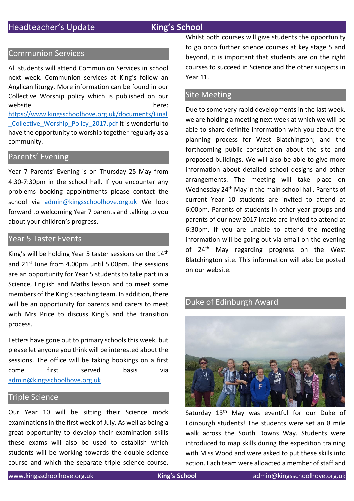#### Communion Services

All students will attend Communion Services in school next week. Communion services at King's follow an Anglican liturgy. More information can be found in our Collective Worship policy which is published on our website here: [https://www.kingsschoolhove.org.uk/documents/Final](https://www.kingsschoolhove.org.uk/documents/Final_Collective_Worship_Policy_2017.pdf) Collective Worship Policy 2017.pdf It is wonderful to have the opportunity to worship together regularly as a community.

#### Parents' Evening

Year 7 Parents' Evening is on Thursday 25 May from 4:30-7:30pm in the school hall. If you encounter any problems booking appointments please contact the school via [admin@kingsschoolhove.org.uk](mailto:admin@kingsschoolhove.org.uk) We look forward to welcoming Year 7 parents and talking to you about your children's progress.

#### Year 5 Taster Events

King's will be holding Year 5 taster sessions on the 14th and 21<sup>st</sup> June from 4.00pm until 5.00pm. The sessions are an opportunity for Year 5 students to take part in a Science, English and Maths lesson and to meet some members of the King's teaching team. In addition, there will be an opportunity for parents and carers to meet with Mrs Price to discuss King's and the transition process.

Letters have gone out to primary schools this week, but please let anyone you think will be interested about the sessions. The office will be taking bookings on a first come first served basis via [admin@kingsschoolhove.org.uk](mailto:admin@kingsschoolhove.org.uk)

#### Triple Science

Our Year 10 will be sitting their Science mock examinations in the first week of July. As well as being a great opportunity to develop their examination skills these exams will also be used to establish which students will be working towards the double science course and which the separate triple science course. Whilst both courses will give students the opportunity to go onto further science courses at key stage 5 and beyond, it is important that students are on the right courses to succeed in Science and the other subjects in Year 11.

#### **Site Meeting**

Due to some very rapid developments in the last week, we are holding a meeting next week at which we will be able to share definite information with you about the planning process for West Blatchington; and the forthcoming public consultation about the site and proposed buildings. We will also be able to give more information about detailed school designs and other arrangements. The meeting will take place on Wednesday 24th May in the main school hall. Parents of current Year 10 students are invited to attend at 6:00pm. Parents of students in other year groups and parents of our new 2017 intake are invited to attend at 6:30pm. If you are unable to attend the meeting information will be going out via email on the evening of 24<sup>th</sup> May regarding progress on the West Blatchington site. This information will also be posted on our website.

# Duke of Edinburgh Award



Saturday 13<sup>th</sup> May was eventful for our Duke of Edinburgh students! The students were set an 8 mile walk across the South Downs Way. Students were introduced to map skills during the expedition training with Miss Wood and were asked to put these skills into action. Each team were alloacted a member of staff and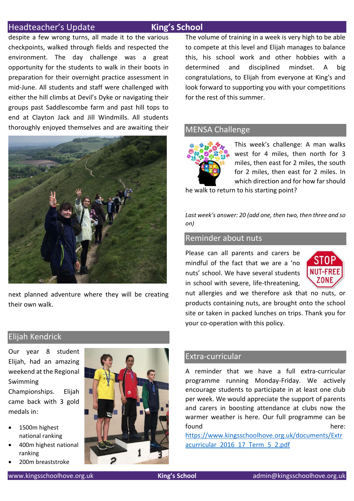#### Headteacher's Update **King's School**

despite a few wrong turns, all made it to the various checkpoints, walked through fields and respected the environment. The day challenge was a great opportunity for the students to walk in their boots in preparation for their overnight practice assessment in mid-June. All students and staff were challenged with either the hill climbs at Devil's Dyke or navigating their groups past Saddlescombe farm and past hill tops to end at Clayton Jack and Jill Windmills. All students thoroughly enjoyed themselves and are awaiting their



next planned adventure where they will be creating their own walk.

The volume of training in a week is very high to be able to compete at this level and Elijah manages to balance this, his school work and other hobbies with a determined and disciplined mindset. A big congratulations, to Elijah from everyone at King's and look forward to supporting you with your competitions for the rest of this summer.

#### MENSA Challenge



This week's challenge: A man walks west for 4 miles, then north for 3 miles, then east for 2 miles, the south for 2 miles, then east for 2 miles. In which direction and for how far should

he walk to return to his starting point?

*Last week's answer: 20 (add one, then two, then three and so on)*

#### Reminder about nuts

Please can all parents and carers be mindful of the fact that we are a 'no nuts' school. We have several students in school with severe, life-threatening,



nut allergies and we therefore ask that no nuts, or products containing nuts, are brought onto the school site or taken in packed lunches on trips. Thank you for your co-operation with this policy.

## Elijah Kendrick

Our year 8 student Elijah, had an amazing weekend at the Regional Swimming Championships. Elijah came back with 3 gold medals in:

- 1500m highest national ranking
- 400m highest national ranking
- 200m breaststroke



#### Extra-curricular

A reminder that we have a full extra-curricular programme running Monday-Friday. We actively encourage students to participate in at least one club per week. We would appreciate the support of parents and carers in boosting attendance at clubs now the warmer weather is here. Our full programme can be found here: the state of the state of the state of the state  $h$  here:

[https://www.kingsschoolhove.org.uk/documents/Extr](https://www.kingsschoolhove.org.uk/documents/Extracurricular_2016_17_Term_5_2.pdf) [acurricular\\_2016\\_17\\_Term\\_5\\_2.pdf](https://www.kingsschoolhove.org.uk/documents/Extracurricular_2016_17_Term_5_2.pdf)